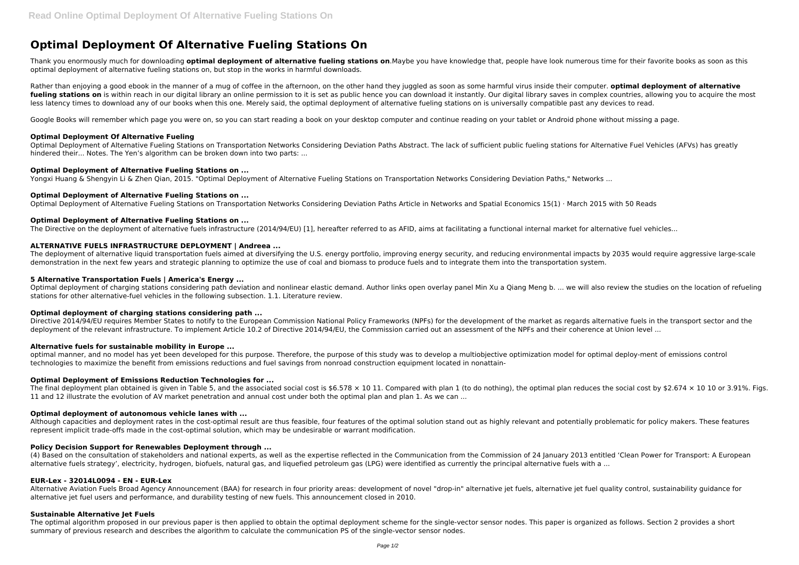# **Optimal Deployment Of Alternative Fueling Stations On**

Rather than enjoying a good ebook in the manner of a mug of coffee in the afternoon, on the other hand they juggled as soon as some harmful virus inside their computer. **optimal deployment of alternative** fueling stations on is within reach in our digital library an online permission to it is set as public hence you can download it instantly. Our digital library saves in complex countries, allowing you to acquire the most less latency times to download any of our books when this one. Merely said, the optimal deployment of alternative fueling stations on is universally compatible past any devices to read.

Thank you enormously much for downloading **optimal deployment of alternative fueling stations on**.Maybe you have knowledge that, people have look numerous time for their favorite books as soon as this optimal deployment of alternative fueling stations on, but stop in the works in harmful downloads.

Google Books will remember which page you were on, so you can start reading a book on your desktop computer and continue reading on your tablet or Android phone without missing a page.

# **Optimal Deployment Of Alternative Fueling**

The deployment of alternative liquid transportation fuels aimed at diversifying the U.S. energy portfolio, improving energy security, and reducing environmental impacts by 2035 would require aggressive large-scale demonstration in the next few years and strategic planning to optimize the use of coal and biomass to produce fuels and to integrate them into the transportation system.

Optimal Deployment of Alternative Fueling Stations on Transportation Networks Considering Deviation Paths Abstract. The lack of sufficient public fueling stations for Alternative Fuel Vehicles (AFVs) has greatly hindered their... Notes. The Yen's algorithm can be broken down into two parts: ...

# **Optimal Deployment of Alternative Fueling Stations on ...**

Yongxi Huang & Shengyin Li & Zhen Qian, 2015. "Optimal Deployment of Alternative Fueling Stations on Transportation Networks Considering Deviation Paths," Networks ...

# **Optimal Deployment of Alternative Fueling Stations on ...**

Optimal Deployment of Alternative Fueling Stations on Transportation Networks Considering Deviation Paths Article in Networks and Spatial Economics 15(1) · March 2015 with 50 Reads

# **Optimal Deployment of Alternative Fueling Stations on ...**

The Directive on the deployment of alternative fuels infrastructure (2014/94/EU) [1], hereafter referred to as AFID, aims at facilitating a functional internal market for alternative fuel vehicles...

The final deployment plan obtained is given in Table 5, and the associated social cost is \$6.578  $\times$  10 11. Compared with plan 1 (to do nothing), the optimal plan reduces the social cost by \$2.674  $\times$  10 10 or 3.91%. Fi 11 and 12 illustrate the evolution of AV market penetration and annual cost under both the optimal plan and plan 1. As we can ...

# **ALTERNATIVE FUELS INFRASTRUCTURE DEPLOYMENT | Andreea ...**

(4) Based on the consultation of stakeholders and national experts, as well as the expertise reflected in the Communication from the Commission of 24 January 2013 entitled 'Clean Power for Transport: A European alternative fuels strategy', electricity, hydrogen, biofuels, natural gas, and liquefied petroleum gas (LPG) were identified as currently the principal alternative fuels with a ...

#### **5 Alternative Transportation Fuels | America's Energy ...**

Optimal deployment of charging stations considering path deviation and nonlinear elastic demand. Author links open overlay panel Min Xu a Qiang Meng b. ... we will also review the studies on the location of refueling stations for other alternative-fuel vehicles in the following subsection. 1.1. Literature review.

# **Optimal deployment of charging stations considering path ...**

Directive 2014/94/EU requires Member States to notify to the European Commission National Policy Frameworks (NPFs) for the development of the market as regards alternative fuels in the transport sector and the deployment of the relevant infrastructure. To implement Article 10.2 of Directive 2014/94/EU, the Commission carried out an assessment of the NPFs and their coherence at Union level ...

# **Alternative fuels for sustainable mobility in Europe ...**

optimal manner, and no model has yet been developed for this purpose. Therefore, the purpose of this study was to develop a multiobjective optimization model for optimal deploy-ment of emissions control technologies to maximize the benefit from emissions reductions and fuel savings from nonroad construction equipment located in nonattain-

# **Optimal Deployment of Emissions Reduction Technologies for ...**

# **Optimal deployment of autonomous vehicle lanes with ...**

Although capacities and deployment rates in the cost-optimal result are thus feasible, four features of the optimal solution stand out as highly relevant and potentially problematic for policy makers. These features represent implicit trade-offs made in the cost-optimal solution, which may be undesirable or warrant modification.

# **Policy Decision Support for Renewables Deployment through ...**

# **EUR-Lex - 32014L0094 - EN - EUR-Lex**

Alternative Aviation Fuels Broad Agency Announcement (BAA) for research in four priority areas: development of novel "drop-in" alternative jet fuels, alternative jet fuel quality control, sustainability guidance for alternative jet fuel users and performance, and durability testing of new fuels. This announcement closed in 2010.

#### **Sustainable Alternative Jet Fuels**

The optimal algorithm proposed in our previous paper is then applied to obtain the optimal deployment scheme for the single-vector sensor nodes. This paper is organized as follows. Section 2 provides a short summary of previous research and describes the algorithm to calculate the communication PS of the single-vector sensor nodes.